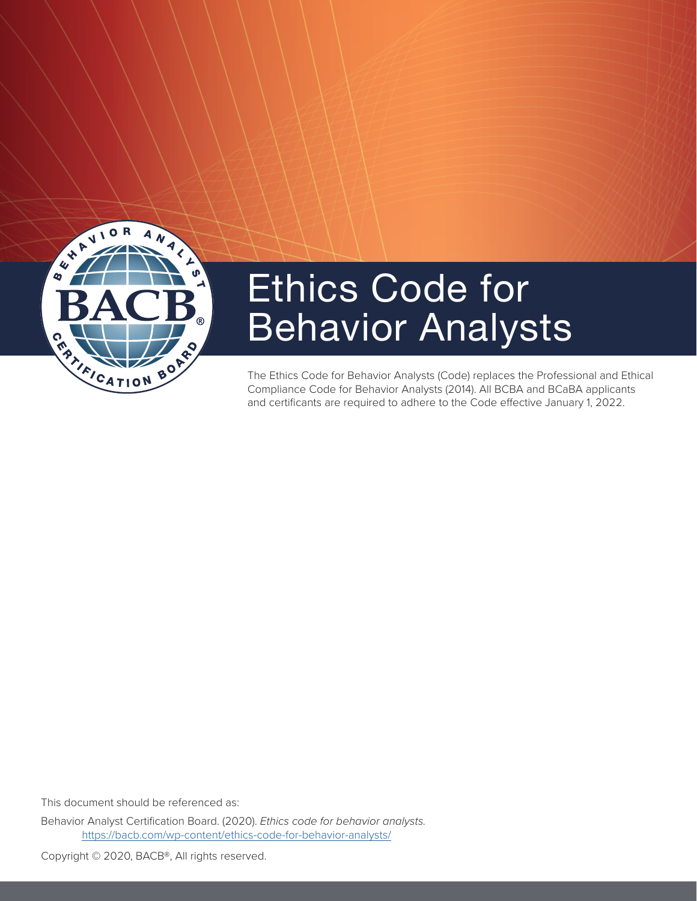

# Ethics Code for Behavior Analysts

The Ethics Code for Behavior Analysts (Code) replaces the Professional and Ethical Compliance Code for Behavior Analysts (2014). All BCBA and BCaBA applicants and certificants are required to adhere to the Code effective January 1, 2022.

This document should be referenced as:

Behavior Analyst Certification Board. (2020). *Ethics code for behavior analysts.* <https://bacb.com/wp-content/ethics-code-for-behavior-analysts/>

Copyright © 2020, BACB®, All rights reserved.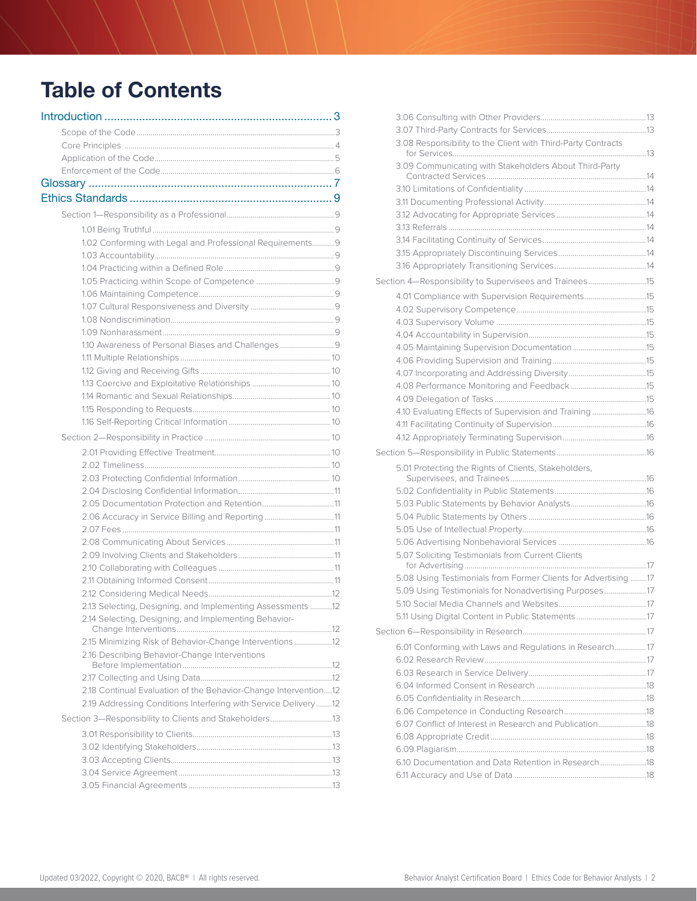# Table of Contents

| 1.02 Conforming with Legal and Professional Requirements 9      |  |
|-----------------------------------------------------------------|--|
|                                                                 |  |
|                                                                 |  |
|                                                                 |  |
|                                                                 |  |
|                                                                 |  |
|                                                                 |  |
|                                                                 |  |
| 1.10 Awareness of Personal Biases and Challenges  9             |  |
|                                                                 |  |
|                                                                 |  |
|                                                                 |  |
|                                                                 |  |
|                                                                 |  |
|                                                                 |  |
|                                                                 |  |
|                                                                 |  |
|                                                                 |  |
|                                                                 |  |
|                                                                 |  |
|                                                                 |  |
| 2.06 Accuracy in Service Billing and Reporting11                |  |
|                                                                 |  |
|                                                                 |  |
|                                                                 |  |
|                                                                 |  |
|                                                                 |  |
| 2.13 Selecting, Designing, and Implementing Assessments 12      |  |
| 2.14 Selecting, Designing, and Implementing Behavior-           |  |
| 2.15 Minimizing Risk of Behavior-Change Interventions12         |  |
| 2.16 Describing Behavior-Change Interventions                   |  |
|                                                                 |  |
| 2.18 Continual Evaluation of the Behavior-Change Intervention12 |  |
| 2.19 Addressing Conditions Interfering with Service Delivery 12 |  |
|                                                                 |  |
|                                                                 |  |
|                                                                 |  |
|                                                                 |  |
|                                                                 |  |
|                                                                 |  |

| 3.08 Responsibility to the Client with Third-Party Contracts    |  |
|-----------------------------------------------------------------|--|
| 3.09 Communicating with Stakeholders About Third-Party          |  |
|                                                                 |  |
|                                                                 |  |
|                                                                 |  |
|                                                                 |  |
|                                                                 |  |
|                                                                 |  |
|                                                                 |  |
| Section 4-Responsibility to Supervisees and Trainees15          |  |
| 4.01 Compliance with Supervision Requirements15                 |  |
|                                                                 |  |
|                                                                 |  |
|                                                                 |  |
|                                                                 |  |
|                                                                 |  |
|                                                                 |  |
|                                                                 |  |
|                                                                 |  |
| 4.10 Evaluating Effects of Supervision and Training16           |  |
|                                                                 |  |
|                                                                 |  |
|                                                                 |  |
| 5.01 Protecting the Rights of Clients, Stakeholders,            |  |
|                                                                 |  |
|                                                                 |  |
|                                                                 |  |
|                                                                 |  |
|                                                                 |  |
| 5.07 Soliciting Testimonials from Current Clients               |  |
| 5.08 Using Testimonials from Former Clients for Advertising  17 |  |
| 5.09 Using Testimonials for Nonadvertising Purposes17           |  |
|                                                                 |  |
| 5.11 Using Digital Content in Public Statements 17              |  |
|                                                                 |  |
| 6.01 Conforming with Laws and Regulations in Research 17        |  |
|                                                                 |  |
|                                                                 |  |
|                                                                 |  |
|                                                                 |  |
|                                                                 |  |
| 6.07 Conflict of Interest in Research and Publication 18        |  |
|                                                                 |  |
|                                                                 |  |
| 6.10 Documentation and Data Retention in Research               |  |
|                                                                 |  |
|                                                                 |  |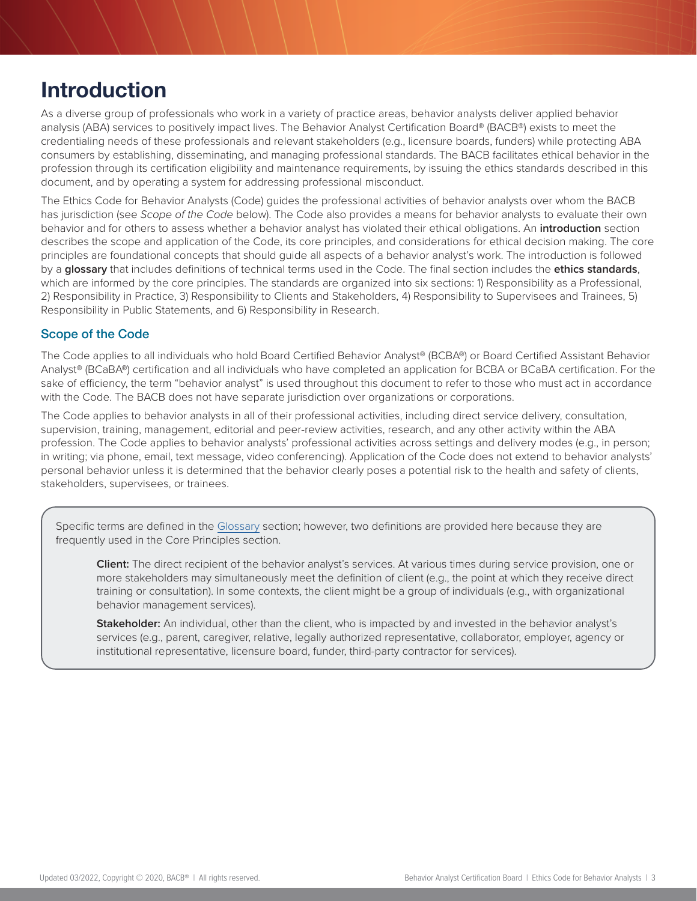# <span id="page-2-0"></span>Introduction

As a diverse group of professionals who work in a variety of practice areas, behavior analysts deliver applied behavior analysis (ABA) services to positively impact lives. The Behavior Analyst Certification Board® (BACB®) exists to meet the credentialing needs of these professionals and relevant stakeholders (e.g., licensure boards, funders) while protecting ABA consumers by establishing, disseminating, and managing professional standards. The BACB facilitates ethical behavior in the profession through its certification eligibility and maintenance requirements, by issuing the ethics standards described in this document, and by operating a system for addressing professional misconduct.

The Ethics Code for Behavior Analysts (Code) guides the professional activities of behavior analysts over whom the BACB has jurisdiction (see *Scope of the Code* below). The Code also provides a means for behavior analysts to evaluate their own behavior and for others to assess whether a behavior analyst has violated their ethical obligations. An **introduction** section describes the scope and application of the Code, its core principles, and considerations for ethical decision making. The core principles are foundational concepts that should guide all aspects of a behavior analyst's work. The introduction is followed by a **glossary** that includes definitions of technical terms used in the Code. The final section includes the **ethics standards**, which are informed by the core principles. The standards are organized into six sections: 1) Responsibility as a Professional, 2) Responsibility in Practice, 3) Responsibility to Clients and Stakeholders, 4) Responsibility to Supervisees and Trainees, 5) Responsibility in Public Statements, and 6) Responsibility in Research.

#### Scope of the Code

The Code applies to all individuals who hold Board Certified Behavior Analyst® (BCBA®) or Board Certified Assistant Behavior Analyst® (BCaBA®) certification and all individuals who have completed an application for BCBA or BCaBA certification. For the sake of efficiency, the term "behavior analyst" is used throughout this document to refer to those who must act in accordance with the Code. The BACB does not have separate jurisdiction over organizations or corporations.

The Code applies to behavior analysts in all of their professional activities, including direct service delivery, consultation, supervision, training, management, editorial and peer-review activities, research, and any other activity within the ABA profession. The Code applies to behavior analysts' professional activities across settings and delivery modes (e.g., in person; in writing; via phone, email, text message, video conferencing). Application of the Code does not extend to behavior analysts' personal behavior unless it is determined that the behavior clearly poses a potential risk to the health and safety of clients, stakeholders, supervisees, or trainees.

Specific terms are defined in the [Glossary](#page-6-1) section; however, two definitions are provided here because they are frequently used in the Core Principles section.

**Client:** The direct recipient of the behavior analyst's services. At various times during service provision, one or more stakeholders may simultaneously meet the definition of client (e.g., the point at which they receive direct training or consultation). In some contexts, the client might be a group of individuals (e.g., with organizational behavior management services).

**Stakeholder:** An individual, other than the client, who is impacted by and invested in the behavior analyst's services (e.g., parent, caregiver, relative, legally authorized representative, collaborator, employer, agency or institutional representative, licensure board, funder, third-party contractor for services).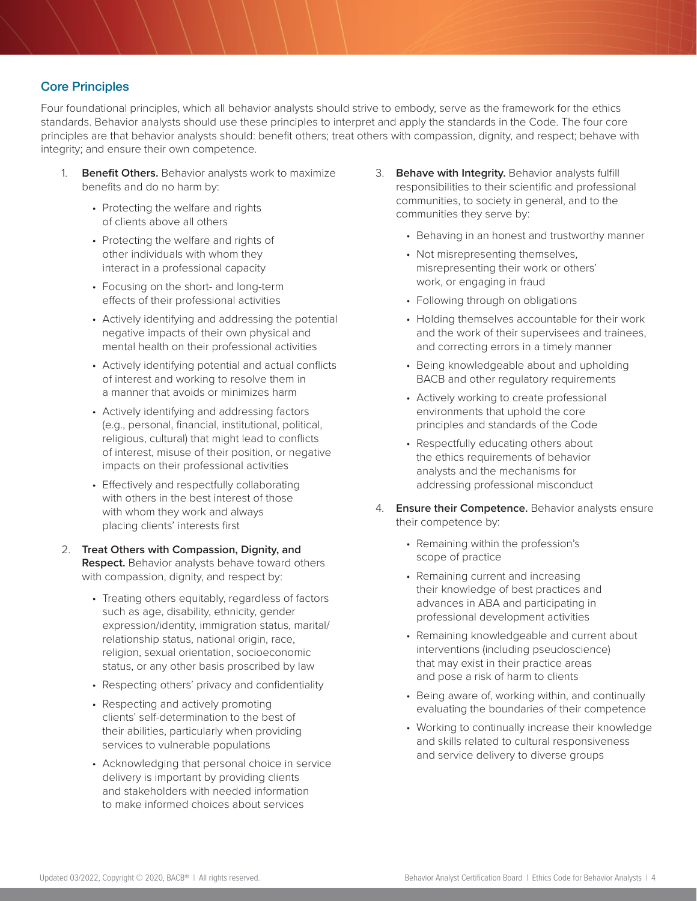#### <span id="page-3-0"></span>Core Principles

Four foundational principles, which all behavior analysts should strive to embody, serve as the framework for the ethics standards. Behavior analysts should use these principles to interpret and apply the standards in the Code. The four core principles are that behavior analysts should: benefit others; treat others with compassion, dignity, and respect; behave with integrity; and ensure their own competence.

- 1. **Benefit Others.** Behavior analysts work to maximize benefits and do no harm by:
	- Protecting the welfare and rights of clients above all others
	- Protecting the welfare and rights of other individuals with whom they interact in a professional capacity
	- Focusing on the short- and long-term effects of their professional activities
	- Actively identifying and addressing the potential negative impacts of their own physical and mental health on their professional activities
	- Actively identifying potential and actual conflicts of interest and working to resolve them in a manner that avoids or minimizes harm
	- Actively identifying and addressing factors (e.g., personal, financial, institutional, political, religious, cultural) that might lead to conflicts of interest, misuse of their position, or negative impacts on their professional activities
	- Effectively and respectfully collaborating with others in the best interest of those with whom they work and always placing clients' interests first
- 2. **Treat Others with Compassion, Dignity, and Respect.** Behavior analysts behave toward others with compassion, dignity, and respect by:
	- Treating others equitably, regardless of factors such as age, disability, ethnicity, gender expression/identity, immigration status, marital/ relationship status, national origin, race, religion, sexual orientation, socioeconomic status, or any other basis proscribed by law
	- Respecting others' privacy and confidentiality
	- Respecting and actively promoting clients' self-determination to the best of their abilities, particularly when providing services to vulnerable populations
	- Acknowledging that personal choice in service delivery is important by providing clients and stakeholders with needed information to make informed choices about services
- 3. **Behave with Integrity.** Behavior analysts fulfill responsibilities to their scientific and professional communities, to society in general, and to the communities they serve by:
	- Behaving in an honest and trustworthy manner
	- Not misrepresenting themselves, misrepresenting their work or others' work, or engaging in fraud
	- Following through on obligations
	- Holding themselves accountable for their work and the work of their supervisees and trainees, and correcting errors in a timely manner
	- Being knowledgeable about and upholding BACB and other regulatory requirements
	- Actively working to create professional environments that uphold the core principles and standards of the Code
	- Respectfully educating others about the ethics requirements of behavior analysts and the mechanisms for addressing professional misconduct
- 4. **Ensure their Competence.** Behavior analysts ensure their competence by:
	- Remaining within the profession's scope of practice
	- Remaining current and increasing their knowledge of best practices and advances in ABA and participating in professional development activities
	- Remaining knowledgeable and current about interventions (including pseudoscience) that may exist in their practice areas and pose a risk of harm to clients
	- Being aware of, working within, and continually evaluating the boundaries of their competence
	- Working to continually increase their knowledge and skills related to cultural responsiveness and service delivery to diverse groups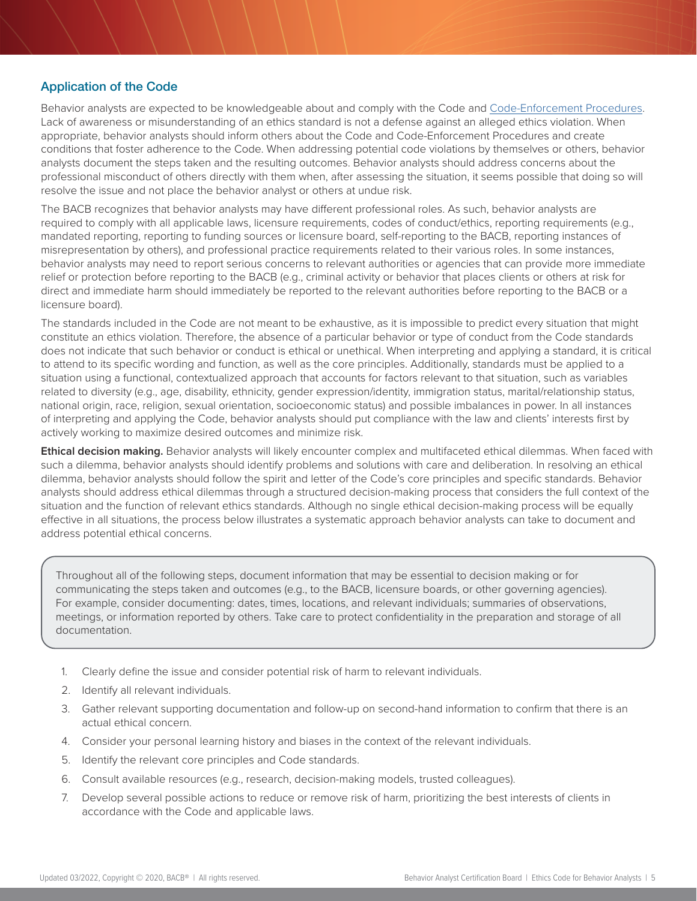#### <span id="page-4-0"></span>Application of the Code

Behavior analysts are expected to be knowledgeable about and comply with the Code and [Code-Enforcement Procedures](https://www.bacb.com/wp-content/BACB_CodeEnforcement_Procedures). Lack of awareness or misunderstanding of an ethics standard is not a defense against an alleged ethics violation. When appropriate, behavior analysts should inform others about the Code and Code-Enforcement Procedures and create conditions that foster adherence to the Code. When addressing potential code violations by themselves or others, behavior analysts document the steps taken and the resulting outcomes. Behavior analysts should address concerns about the professional misconduct of others directly with them when, after assessing the situation, it seems possible that doing so will resolve the issue and not place the behavior analyst or others at undue risk.

The BACB recognizes that behavior analysts may have different professional roles. As such, behavior analysts are required to comply with all applicable laws, licensure requirements, codes of conduct/ethics, reporting requirements (e.g., mandated reporting, reporting to funding sources or licensure board, self-reporting to the BACB, reporting instances of misrepresentation by others), and professional practice requirements related to their various roles. In some instances, behavior analysts may need to report serious concerns to relevant authorities or agencies that can provide more immediate relief or protection before reporting to the BACB (e.g., criminal activity or behavior that places clients or others at risk for direct and immediate harm should immediately be reported to the relevant authorities before reporting to the BACB or a licensure board).

The standards included in the Code are not meant to be exhaustive, as it is impossible to predict every situation that might constitute an ethics violation. Therefore, the absence of a particular behavior or type of conduct from the Code standards does not indicate that such behavior or conduct is ethical or unethical. When interpreting and applying a standard, it is critical to attend to its specific wording and function, as well as the core principles. Additionally, standards must be applied to a situation using a functional, contextualized approach that accounts for factors relevant to that situation, such as variables related to diversity (e.g., age, disability, ethnicity, gender expression/identity, immigration status, marital/relationship status, national origin, race, religion, sexual orientation, socioeconomic status) and possible imbalances in power. In all instances of interpreting and applying the Code, behavior analysts should put compliance with the law and clients' interests first by actively working to maximize desired outcomes and minimize risk.

**Ethical decision making.** Behavior analysts will likely encounter complex and multifaceted ethical dilemmas. When faced with such a dilemma, behavior analysts should identify problems and solutions with care and deliberation. In resolving an ethical dilemma, behavior analysts should follow the spirit and letter of the Code's core principles and specific standards. Behavior analysts should address ethical dilemmas through a structured decision-making process that considers the full context of the situation and the function of relevant ethics standards. Although no single ethical decision-making process will be equally effective in all situations, the process below illustrates a systematic approach behavior analysts can take to document and address potential ethical concerns.

Throughout all of the following steps, document information that may be essential to decision making or for communicating the steps taken and outcomes (e.g., to the BACB, licensure boards, or other governing agencies). For example, consider documenting: dates, times, locations, and relevant individuals; summaries of observations, meetings, or information reported by others. Take care to protect confidentiality in the preparation and storage of all documentation.

- 1. Clearly define the issue and consider potential risk of harm to relevant individuals.
- 2. Identify all relevant individuals.
- 3. Gather relevant supporting documentation and follow-up on second-hand information to confirm that there is an actual ethical concern.
- 4. Consider your personal learning history and biases in the context of the relevant individuals.
- 5. Identify the relevant core principles and Code standards.
- 6. Consult available resources (e.g., research, decision-making models, trusted colleagues).
- 7. Develop several possible actions to reduce or remove risk of harm, prioritizing the best interests of clients in accordance with the Code and applicable laws.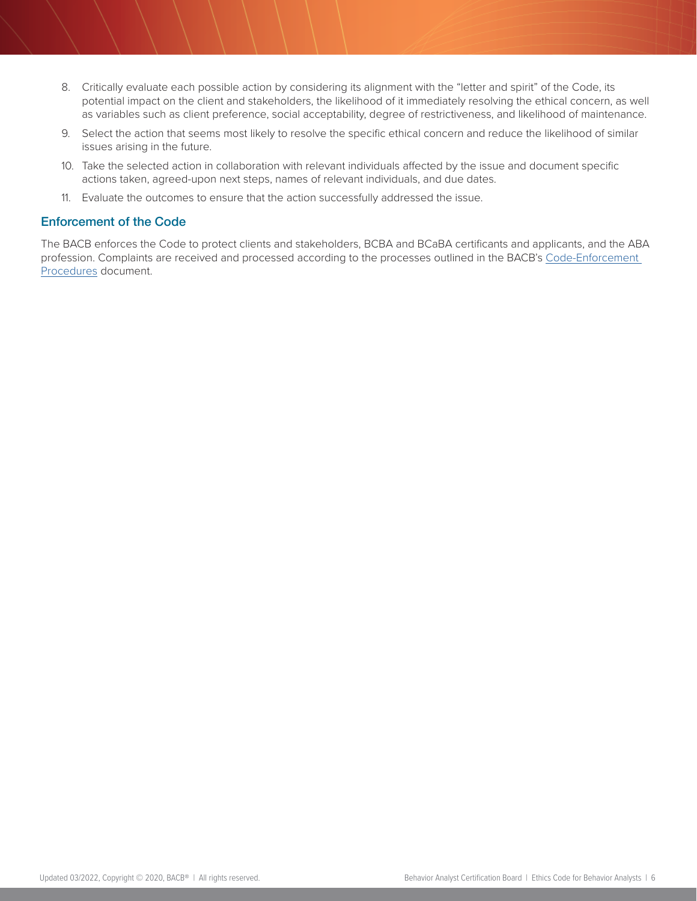- <span id="page-5-0"></span>8. Critically evaluate each possible action by considering its alignment with the "letter and spirit" of the Code, its potential impact on the client and stakeholders, the likelihood of it immediately resolving the ethical concern, as well as variables such as client preference, social acceptability, degree of restrictiveness, and likelihood of maintenance.
- 9. Select the action that seems most likely to resolve the specific ethical concern and reduce the likelihood of similar issues arising in the future.
- 10. Take the selected action in collaboration with relevant individuals affected by the issue and document specific actions taken, agreed-upon next steps, names of relevant individuals, and due dates.
- 11. Evaluate the outcomes to ensure that the action successfully addressed the issue.

#### Enforcement of the Code

The BACB enforces the Code to protect clients and stakeholders, BCBA and BCaBA certificants and applicants, and the ABA profession. Complaints are received and processed according to the processes outlined in the BACB's [Code-Enforcement](https://www.bacb.com/wp-content/BACB_CodeEnforcement_Procedures)  [Procedures](https://www.bacb.com/wp-content/BACB_CodeEnforcement_Procedures) document.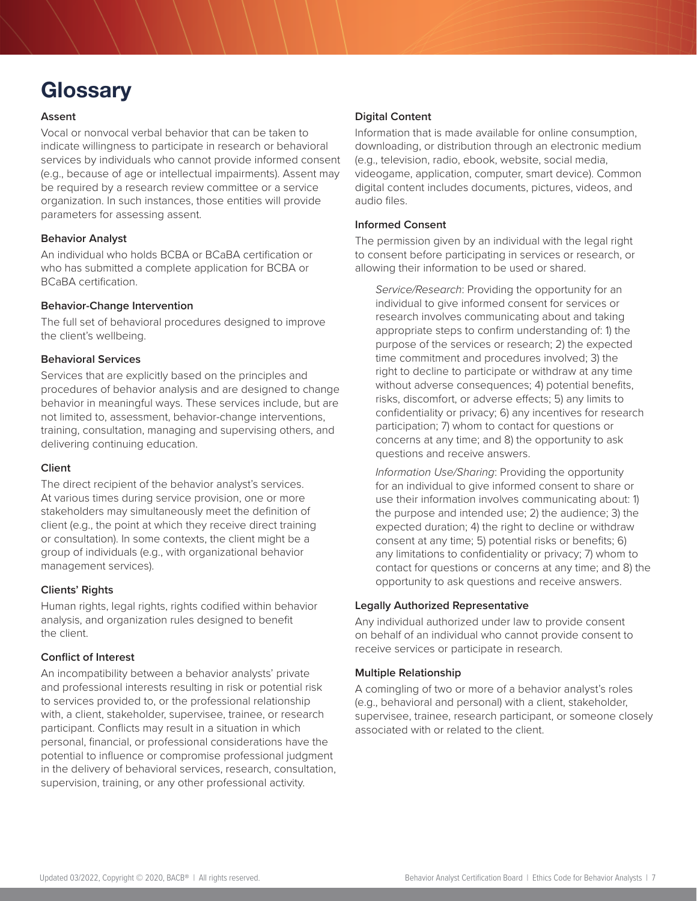# <span id="page-6-1"></span><span id="page-6-0"></span>**Glossary**

#### **Assent**

Vocal or nonvocal verbal behavior that can be taken to indicate willingness to participate in research or behavioral services by individuals who cannot provide informed consent (e.g., because of age or intellectual impairments). Assent may be required by a research review committee or a service organization. In such instances, those entities will provide parameters for assessing assent.

#### **Behavior Analyst**

An individual who holds BCBA or BCaBA certification or who has submitted a complete application for BCBA or BCaBA certification.

#### **Behavior-Change Intervention**

The full set of behavioral procedures designed to improve the client's wellbeing.

#### **Behavioral Services**

Services that are explicitly based on the principles and procedures of behavior analysis and are designed to change behavior in meaningful ways. These services include, but are not limited to, assessment, behavior-change interventions, training, consultation, managing and supervising others, and delivering continuing education.

#### **Client**

The direct recipient of the behavior analyst's services. At various times during service provision, one or more stakeholders may simultaneously meet the definition of client (e.g., the point at which they receive direct training or consultation). In some contexts, the client might be a group of individuals (e.g., with organizational behavior management services).

#### **Clients' Rights**

Human rights, legal rights, rights codified within behavior analysis, and organization rules designed to benefit the client.

#### **Conflict of Interest**

An incompatibility between a behavior analysts' private and professional interests resulting in risk or potential risk to services provided to, or the professional relationship with, a client, stakeholder, supervisee, trainee, or research participant. Conflicts may result in a situation in which personal, financial, or professional considerations have the potential to influence or compromise professional judgment in the delivery of behavioral services, research, consultation, supervision, training, or any other professional activity.

#### **Digital Content**

Information that is made available for online consumption, downloading, or distribution through an electronic medium (e.g., television, radio, ebook, website, social media, videogame, application, computer, smart device). Common digital content includes documents, pictures, videos, and audio files.

#### **Informed Consent**

The permission given by an individual with the legal right to consent before participating in services or research, or allowing their information to be used or shared.

*Service/Research*: Providing the opportunity for an individual to give informed consent for services or research involves communicating about and taking appropriate steps to confirm understanding of: 1) the purpose of the services or research; 2) the expected time commitment and procedures involved; 3) the right to decline to participate or withdraw at any time without adverse consequences; 4) potential benefits, risks, discomfort, or adverse effects; 5) any limits to confidentiality or privacy; 6) any incentives for research participation; 7) whom to contact for questions or concerns at any time; and 8) the opportunity to ask questions and receive answers.

*Information Use/Sharing*: Providing the opportunity for an individual to give informed consent to share or use their information involves communicating about: 1) the purpose and intended use; 2) the audience; 3) the expected duration; 4) the right to decline or withdraw consent at any time; 5) potential risks or benefits; 6) any limitations to confidentiality or privacy; 7) whom to contact for questions or concerns at any time; and 8) the opportunity to ask questions and receive answers.

#### **Legally Authorized Representative**

Any individual authorized under law to provide consent on behalf of an individual who cannot provide consent to receive services or participate in research.

#### **Multiple Relationship**

A comingling of two or more of a behavior analyst's roles (e.g., behavioral and personal) with a client, stakeholder, supervisee, trainee, research participant, or someone closely associated with or related to the client.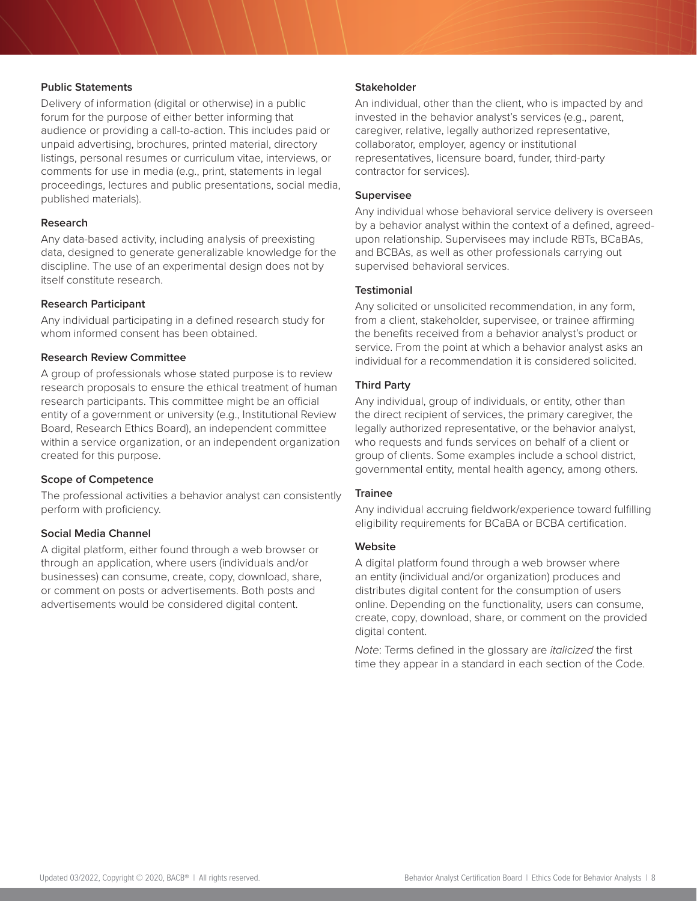#### **Public Statements**

Delivery of information (digital or otherwise) in a public forum for the purpose of either better informing that audience or providing a call-to-action. This includes paid or unpaid advertising, brochures, printed material, directory listings, personal resumes or curriculum vitae, interviews, or comments for use in media (e.g., print, statements in legal proceedings, lectures and public presentations, social media, published materials).

#### **Research**

Any data-based activity, including analysis of preexisting data, designed to generate generalizable knowledge for the discipline. The use of an experimental design does not by itself constitute research.

#### **Research Participant**

Any individual participating in a defined research study for whom informed consent has been obtained.

#### **Research Review Committee**

A group of professionals whose stated purpose is to review research proposals to ensure the ethical treatment of human research participants. This committee might be an official entity of a government or university (e.g., Institutional Review Board, Research Ethics Board), an independent committee within a service organization, or an independent organization created for this purpose.

#### **Scope of Competence**

The professional activities a behavior analyst can consistently perform with proficiency.

#### **Social Media Channel**

A digital platform, either found through a web browser or through an application, where users (individuals and/or businesses) can consume, create, copy, download, share, or comment on posts or advertisements. Both posts and advertisements would be considered digital content.

#### **Stakeholder**

An individual, other than the client, who is impacted by and invested in the behavior analyst's services (e.g., parent, caregiver, relative, legally authorized representative, collaborator, employer, agency or institutional representatives, licensure board, funder, third-party contractor for services).

#### **Supervisee**

Any individual whose behavioral service delivery is overseen by a behavior analyst within the context of a defined, agreedupon relationship. Supervisees may include RBTs, BCaBAs, and BCBAs, as well as other professionals carrying out supervised behavioral services.

#### **Testimonial**

Any solicited or unsolicited recommendation, in any form, from a client, stakeholder, supervisee, or trainee affirming the benefits received from a behavior analyst's product or service. From the point at which a behavior analyst asks an individual for a recommendation it is considered solicited.

#### **Third Party**

Any individual, group of individuals, or entity, other than the direct recipient of services, the primary caregiver, the legally authorized representative, or the behavior analyst, who requests and funds services on behalf of a client or group of clients. Some examples include a school district, governmental entity, mental health agency, among others.

#### **Trainee**

Any individual accruing fieldwork/experience toward fulfilling eligibility requirements for BCaBA or BCBA certification.

#### **Website**

A digital platform found through a web browser where an entity (individual and/or organization) produces and distributes digital content for the consumption of users online. Depending on the functionality, users can consume, create, copy, download, share, or comment on the provided digital content.

*Note*: Terms defined in the glossary are *italicized* the first time they appear in a standard in each section of the Code.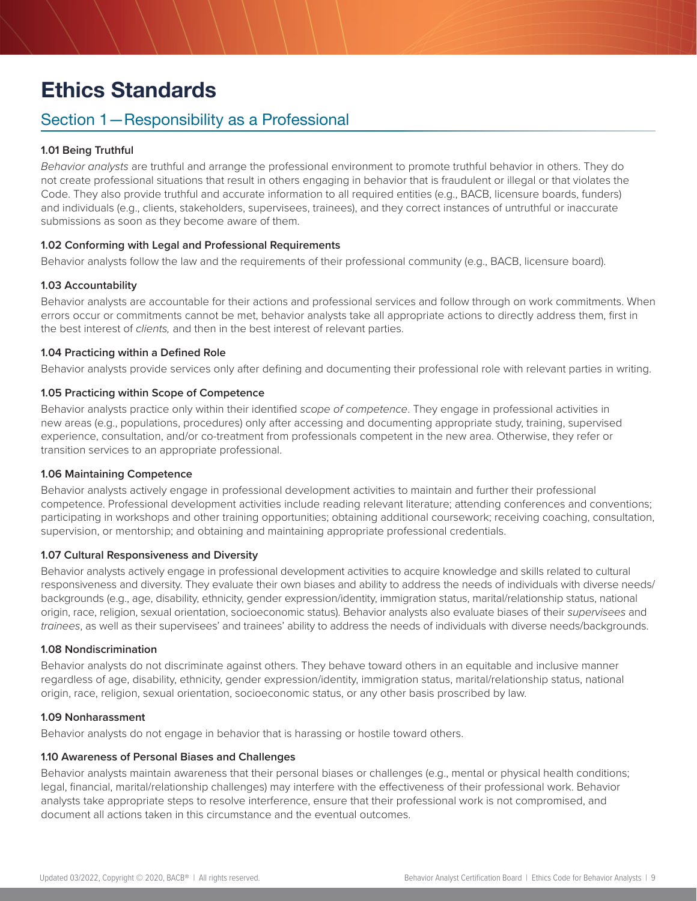# <span id="page-8-0"></span>Ethics Standards

### Section 1—Responsibility as a Professional

#### **1.01 Being Truthful**

*Behavior analysts* are truthful and arrange the professional environment to promote truthful behavior in others. They do not create professional situations that result in others engaging in behavior that is fraudulent or illegal or that violates the Code. They also provide truthful and accurate information to all required entities (e.g., BACB, licensure boards, funders) and individuals (e.g., clients, stakeholders, supervisees, trainees), and they correct instances of untruthful or inaccurate submissions as soon as they become aware of them.

#### **1.02 Conforming with Legal and Professional Requirements**

Behavior analysts follow the law and the requirements of their professional community (e.g., BACB, licensure board).

#### **1.03 Accountability**

Behavior analysts are accountable for their actions and professional services and follow through on work commitments. When errors occur or commitments cannot be met, behavior analysts take all appropriate actions to directly address them, first in the best interest of *clients,* and then in the best interest of relevant parties.

#### **1.04 Practicing within a Defined Role**

Behavior analysts provide services only after defining and documenting their professional role with relevant parties in writing.

#### **1.05 Practicing within Scope of Competence**

Behavior analysts practice only within their identified *scope of competence*. They engage in professional activities in new areas (e.g., populations, procedures) only after accessing and documenting appropriate study, training, supervised experience, consultation, and/or co-treatment from professionals competent in the new area. Otherwise, they refer or transition services to an appropriate professional.

#### **1.06 Maintaining Competence**

Behavior analysts actively engage in professional development activities to maintain and further their professional competence. Professional development activities include reading relevant literature; attending conferences and conventions; participating in workshops and other training opportunities; obtaining additional coursework; receiving coaching, consultation, supervision, or mentorship; and obtaining and maintaining appropriate professional credentials.

#### **1.07 Cultural Responsiveness and Diversity**

Behavior analysts actively engage in professional development activities to acquire knowledge and skills related to cultural responsiveness and diversity. They evaluate their own biases and ability to address the needs of individuals with diverse needs/ backgrounds (e.g., age, disability, ethnicity, gender expression/identity, immigration status, marital/relationship status, national origin, race, religion, sexual orientation, socioeconomic status). Behavior analysts also evaluate biases of their *supervisees* and *trainees*, as well as their supervisees' and trainees' ability to address the needs of individuals with diverse needs/backgrounds.

#### **1.08 Nondiscrimination**

Behavior analysts do not discriminate against others. They behave toward others in an equitable and inclusive manner regardless of age, disability, ethnicity, gender expression/identity, immigration status, marital/relationship status, national origin, race, religion, sexual orientation, socioeconomic status, or any other basis proscribed by law.

#### **1.09 Nonharassment**

Behavior analysts do not engage in behavior that is harassing or hostile toward others.

#### **1.10 Awareness of Personal Biases and Challenges**

Behavior analysts maintain awareness that their personal biases or challenges (e.g., mental or physical health conditions; legal, financial, marital/relationship challenges) may interfere with the effectiveness of their professional work. Behavior analysts take appropriate steps to resolve interference, ensure that their professional work is not compromised, and document all actions taken in this circumstance and the eventual outcomes.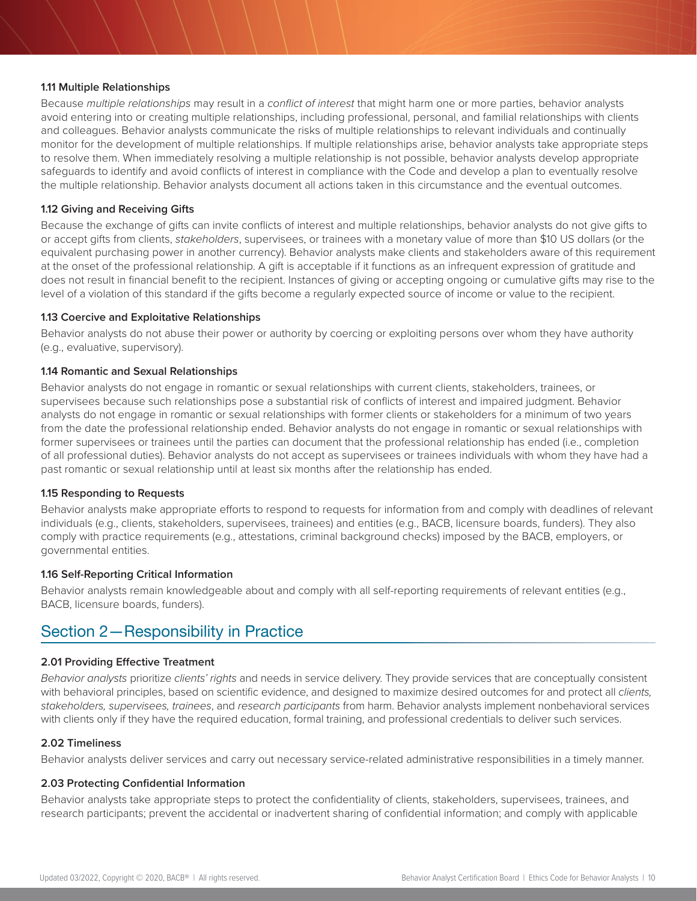#### <span id="page-9-0"></span>**1.11 Multiple Relationships**

Because *multiple relationships* may result in a *conflict of interest* that might harm one or more parties, behavior analysts avoid entering into or creating multiple relationships, including professional, personal, and familial relationships with clients and colleagues. Behavior analysts communicate the risks of multiple relationships to relevant individuals and continually monitor for the development of multiple relationships. If multiple relationships arise, behavior analysts take appropriate steps to resolve them. When immediately resolving a multiple relationship is not possible, behavior analysts develop appropriate safeguards to identify and avoid conflicts of interest in compliance with the Code and develop a plan to eventually resolve the multiple relationship. Behavior analysts document all actions taken in this circumstance and the eventual outcomes.

#### **1.12 Giving and Receiving Gifts**

Because the exchange of gifts can invite conflicts of interest and multiple relationships, behavior analysts do not give gifts to or accept gifts from clients, *stakeholders*, supervisees, or trainees with a monetary value of more than \$10 US dollars (or the equivalent purchasing power in another currency). Behavior analysts make clients and stakeholders aware of this requirement at the onset of the professional relationship. A gift is acceptable if it functions as an infrequent expression of gratitude and does not result in financial benefit to the recipient. Instances of giving or accepting ongoing or cumulative gifts may rise to the level of a violation of this standard if the gifts become a regularly expected source of income or value to the recipient.

#### **1.13 Coercive and Exploitative Relationships**

Behavior analysts do not abuse their power or authority by coercing or exploiting persons over whom they have authority (e.g., evaluative, supervisory).

#### **1.14 Romantic and Sexual Relationships**

Behavior analysts do not engage in romantic or sexual relationships with current clients, stakeholders, trainees, or supervisees because such relationships pose a substantial risk of conflicts of interest and impaired judgment. Behavior analysts do not engage in romantic or sexual relationships with former clients or stakeholders for a minimum of two years from the date the professional relationship ended. Behavior analysts do not engage in romantic or sexual relationships with former supervisees or trainees until the parties can document that the professional relationship has ended (i.e., completion of all professional duties). Behavior analysts do not accept as supervisees or trainees individuals with whom they have had a past romantic or sexual relationship until at least six months after the relationship has ended.

#### **1.15 Responding to Requests**

Behavior analysts make appropriate efforts to respond to requests for information from and comply with deadlines of relevant individuals (e.g., clients, stakeholders, supervisees, trainees) and entities (e.g., BACB, licensure boards, funders). They also comply with practice requirements (e.g., attestations, criminal background checks) imposed by the BACB, employers, or governmental entities.

#### **1.16 Self-Reporting Critical Information**

Behavior analysts remain knowledgeable about and comply with all self-reporting requirements of relevant entities (e.g., BACB, licensure boards, funders).

### Section 2—Responsibility in Practice

#### **2.01 Providing Effective Treatment**

*Behavior analysts* prioritize *clients' rights* and needs in service delivery. They provide services that are conceptually consistent with behavioral principles, based on scientific evidence, and designed to maximize desired outcomes for and protect all *clients, stakeholders, supervisees, trainees*, and *research participants* from harm. Behavior analysts implement nonbehavioral services with clients only if they have the required education, formal training, and professional credentials to deliver such services.

#### **2.02 Timeliness**

Behavior analysts deliver services and carry out necessary service-related administrative responsibilities in a timely manner.

#### **2.03 Protecting Confidential Information**

Behavior analysts take appropriate steps to protect the confidentiality of clients, stakeholders, supervisees, trainees, and research participants; prevent the accidental or inadvertent sharing of confidential information; and comply with applicable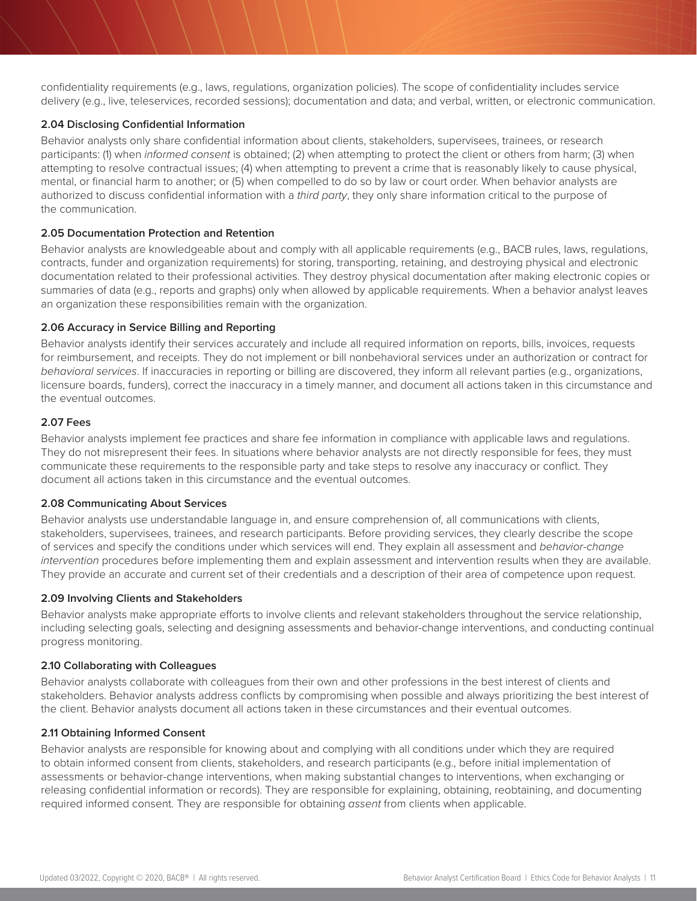<span id="page-10-0"></span>confidentiality requirements (e.g., laws, regulations, organization policies). The scope of confidentiality includes service delivery (e.g., live, teleservices, recorded sessions); documentation and data; and verbal, written, or electronic communication.

#### **2.04 Disclosing Confidential Information**

Behavior analysts only share confidential information about clients, stakeholders, supervisees, trainees, or research participants: (1) when *informed consent* is obtained; (2) when attempting to protect the client or others from harm; (3) when attempting to resolve contractual issues; (4) when attempting to prevent a crime that is reasonably likely to cause physical, mental, or financial harm to another; or (5) when compelled to do so by law or court order. When behavior analysts are authorized to discuss confidential information with a *third party*, they only share information critical to the purpose of the communication.

#### **2.05 Documentation Protection and Retention**

Behavior analysts are knowledgeable about and comply with all applicable requirements (e.g., BACB rules, laws, regulations, contracts, funder and organization requirements) for storing, transporting, retaining, and destroying physical and electronic documentation related to their professional activities. They destroy physical documentation after making electronic copies or summaries of data (e.g., reports and graphs) only when allowed by applicable requirements. When a behavior analyst leaves an organization these responsibilities remain with the organization.

#### **2.06 Accuracy in Service Billing and Reporting**

Behavior analysts identify their services accurately and include all required information on reports, bills, invoices, requests for reimbursement, and receipts. They do not implement or bill nonbehavioral services under an authorization or contract for *behavioral services*. If inaccuracies in reporting or billing are discovered, they inform all relevant parties (e.g., organizations, licensure boards, funders), correct the inaccuracy in a timely manner, and document all actions taken in this circumstance and the eventual outcomes.

#### **2.07 Fees**

Behavior analysts implement fee practices and share fee information in compliance with applicable laws and regulations. They do not misrepresent their fees. In situations where behavior analysts are not directly responsible for fees, they must communicate these requirements to the responsible party and take steps to resolve any inaccuracy or conflict. They document all actions taken in this circumstance and the eventual outcomes.

#### **2.08 Communicating About Services**

Behavior analysts use understandable language in, and ensure comprehension of, all communications with clients, stakeholders, supervisees, trainees, and research participants. Before providing services, they clearly describe the scope of services and specify the conditions under which services will end. They explain all assessment and *behavior-change intervention* procedures before implementing them and explain assessment and intervention results when they are available. They provide an accurate and current set of their credentials and a description of their area of competence upon request.

#### **2.09 Involving Clients and Stakeholders**

Behavior analysts make appropriate efforts to involve clients and relevant stakeholders throughout the service relationship, including selecting goals, selecting and designing assessments and behavior-change interventions, and conducting continual progress monitoring.

#### **2.10 Collaborating with Colleagues**

Behavior analysts collaborate with colleagues from their own and other professions in the best interest of clients and stakeholders. Behavior analysts address conflicts by compromising when possible and always prioritizing the best interest of the client. Behavior analysts document all actions taken in these circumstances and their eventual outcomes.

#### **2.11 Obtaining Informed Consent**

Behavior analysts are responsible for knowing about and complying with all conditions under which they are required to obtain informed consent from clients, stakeholders, and research participants (e.g., before initial implementation of assessments or behavior-change interventions, when making substantial changes to interventions, when exchanging or releasing confidential information or records). They are responsible for explaining, obtaining, reobtaining, and documenting required informed consent. They are responsible for obtaining *assent* from clients when applicable.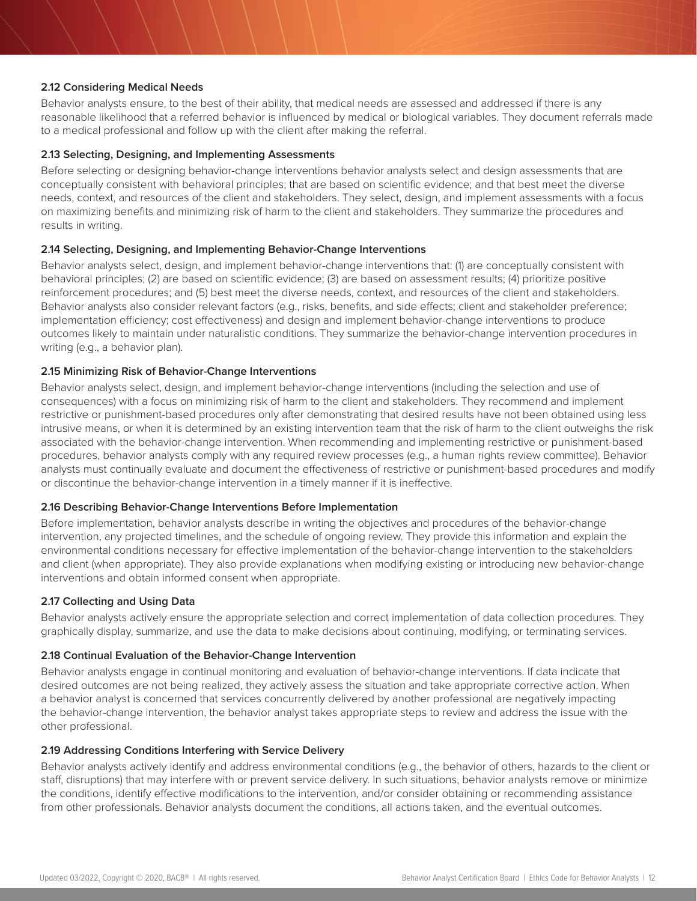#### <span id="page-11-0"></span>**2.12 Considering Medical Needs**

Behavior analysts ensure, to the best of their ability, that medical needs are assessed and addressed if there is any reasonable likelihood that a referred behavior is influenced by medical or biological variables. They document referrals made to a medical professional and follow up with the client after making the referral.

#### **2.13 Selecting, Designing, and Implementing Assessments**

Before selecting or designing behavior-change interventions behavior analysts select and design assessments that are conceptually consistent with behavioral principles; that are based on scientific evidence; and that best meet the diverse needs, context, and resources of the client and stakeholders. They select, design, and implement assessments with a focus on maximizing benefits and minimizing risk of harm to the client and stakeholders. They summarize the procedures and results in writing.

#### **2.14 Selecting, Designing, and Implementing Behavior-Change Interventions**

Behavior analysts select, design, and implement behavior-change interventions that: (1) are conceptually consistent with behavioral principles; (2) are based on scientific evidence; (3) are based on assessment results; (4) prioritize positive reinforcement procedures; and (5) best meet the diverse needs, context, and resources of the client and stakeholders. Behavior analysts also consider relevant factors (e.g., risks, benefits, and side effects; client and stakeholder preference; implementation efficiency; cost effectiveness) and design and implement behavior-change interventions to produce outcomes likely to maintain under naturalistic conditions. They summarize the behavior-change intervention procedures in writing (e.g., a behavior plan).

#### **2.15 Minimizing Risk of Behavior-Change Interventions**

Behavior analysts select, design, and implement behavior-change interventions (including the selection and use of consequences) with a focus on minimizing risk of harm to the client and stakeholders. They recommend and implement restrictive or punishment-based procedures only after demonstrating that desired results have not been obtained using less intrusive means, or when it is determined by an existing intervention team that the risk of harm to the client outweighs the risk associated with the behavior-change intervention. When recommending and implementing restrictive or punishment-based procedures, behavior analysts comply with any required review processes (e.g., a human rights review committee). Behavior analysts must continually evaluate and document the effectiveness of restrictive or punishment-based procedures and modify or discontinue the behavior-change intervention in a timely manner if it is ineffective.

#### **2.16 Describing Behavior-Change Interventions Before Implementation**

Before implementation, behavior analysts describe in writing the objectives and procedures of the behavior-change intervention, any projected timelines, and the schedule of ongoing review. They provide this information and explain the environmental conditions necessary for effective implementation of the behavior-change intervention to the stakeholders and client (when appropriate). They also provide explanations when modifying existing or introducing new behavior-change interventions and obtain informed consent when appropriate.

#### **2.17 Collecting and Using Data**

Behavior analysts actively ensure the appropriate selection and correct implementation of data collection procedures. They graphically display, summarize, and use the data to make decisions about continuing, modifying, or terminating services.

#### **2.18 Continual Evaluation of the Behavior-Change Intervention**

Behavior analysts engage in continual monitoring and evaluation of behavior-change interventions. If data indicate that desired outcomes are not being realized, they actively assess the situation and take appropriate corrective action. When a behavior analyst is concerned that services concurrently delivered by another professional are negatively impacting the behavior-change intervention, the behavior analyst takes appropriate steps to review and address the issue with the other professional.

#### **2.19 Addressing Conditions Interfering with Service Delivery**

Behavior analysts actively identify and address environmental conditions (e.g., the behavior of others, hazards to the client or staff, disruptions) that may interfere with or prevent service delivery. In such situations, behavior analysts remove or minimize the conditions, identify effective modifications to the intervention, and/or consider obtaining or recommending assistance from other professionals. Behavior analysts document the conditions, all actions taken, and the eventual outcomes.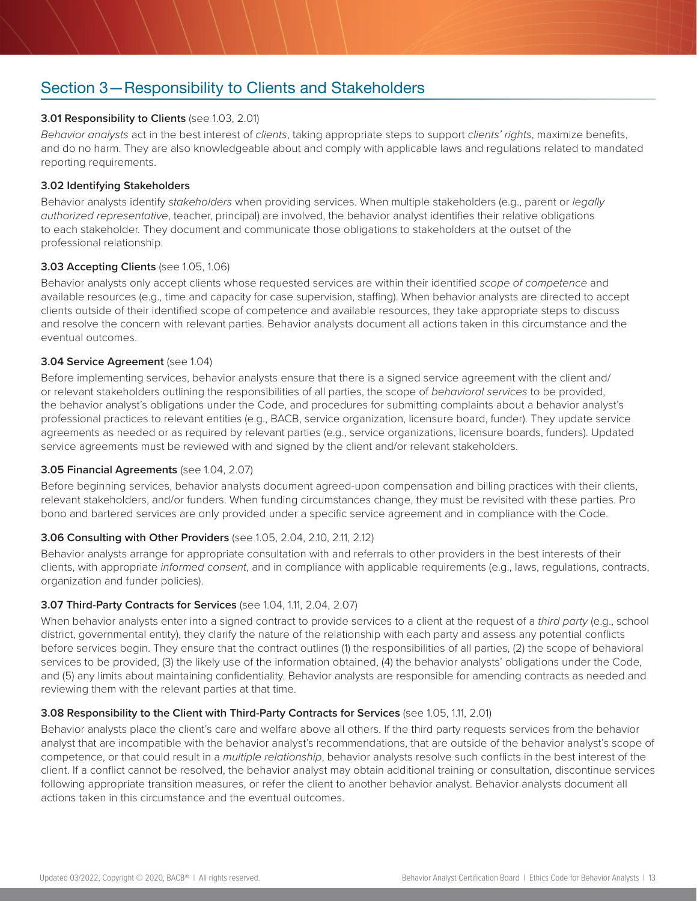# <span id="page-12-0"></span>Section 3—Responsibility to Clients and Stakeholders

#### **3.01 Responsibility to Clients** (see 1.03, 2.01)

*Behavior analysts* act in the best interest of *clients*, taking appropriate steps to support *clients' rights*, maximize benefits, and do no harm. They are also knowledgeable about and comply with applicable laws and regulations related to mandated reporting requirements.

#### **3.02 Identifying Stakeholders**

Behavior analysts identify *stakeholders* when providing services. When multiple stakeholders (e.g., parent or *legally authorized representative*, teacher, principal) are involved, the behavior analyst identifies their relative obligations to each stakeholder. They document and communicate those obligations to stakeholders at the outset of the professional relationship.

#### **3.03 Accepting Clients** (see 1.05, 1.06)

Behavior analysts only accept clients whose requested services are within their identified *scope of competence* and available resources (e.g., time and capacity for case supervision, staffing). When behavior analysts are directed to accept clients outside of their identified scope of competence and available resources, they take appropriate steps to discuss and resolve the concern with relevant parties. Behavior analysts document all actions taken in this circumstance and the eventual outcomes.

#### **3.04 Service Agreement** (see 1.04)

Before implementing services, behavior analysts ensure that there is a signed service agreement with the client and/ or relevant stakeholders outlining the responsibilities of all parties, the scope of *behavioral services* to be provided, the behavior analyst's obligations under the Code, and procedures for submitting complaints about a behavior analyst's professional practices to relevant entities (e.g., BACB, service organization, licensure board, funder). They update service agreements as needed or as required by relevant parties (e.g., service organizations, licensure boards, funders). Updated service agreements must be reviewed with and signed by the client and/or relevant stakeholders.

#### **3.05 Financial Agreements** (see 1.04, 2.07)

Before beginning services, behavior analysts document agreed-upon compensation and billing practices with their clients, relevant stakeholders, and/or funders. When funding circumstances change, they must be revisited with these parties. Pro bono and bartered services are only provided under a specific service agreement and in compliance with the Code.

#### **3.06 Consulting with Other Providers** (see 1.05, 2.04, 2.10, 2.11, 2.12)

Behavior analysts arrange for appropriate consultation with and referrals to other providers in the best interests of their clients, with appropriate *informed consent*, and in compliance with applicable requirements (e.g., laws, regulations, contracts, organization and funder policies).

#### **3.07 Third-Party Contracts for Services** (see 1.04, 1.11, 2.04, 2.07)

When behavior analysts enter into a signed contract to provide services to a client at the request of a *third party* (e.g., school district, governmental entity), they clarify the nature of the relationship with each party and assess any potential conflicts before services begin. They ensure that the contract outlines (1) the responsibilities of all parties, (2) the scope of behavioral services to be provided, (3) the likely use of the information obtained, (4) the behavior analysts' obligations under the Code, and (5) any limits about maintaining confidentiality. Behavior analysts are responsible for amending contracts as needed and reviewing them with the relevant parties at that time.

#### **3.08 Responsibility to the Client with Third-Party Contracts for Services** (see 1.05, 1.11, 2.01)

Behavior analysts place the client's care and welfare above all others. If the third party requests services from the behavior analyst that are incompatible with the behavior analyst's recommendations, that are outside of the behavior analyst's scope of competence, or that could result in a *multiple relationship*, behavior analysts resolve such conflicts in the best interest of the client. If a conflict cannot be resolved, the behavior analyst may obtain additional training or consultation, discontinue services following appropriate transition measures, or refer the client to another behavior analyst. Behavior analysts document all actions taken in this circumstance and the eventual outcomes.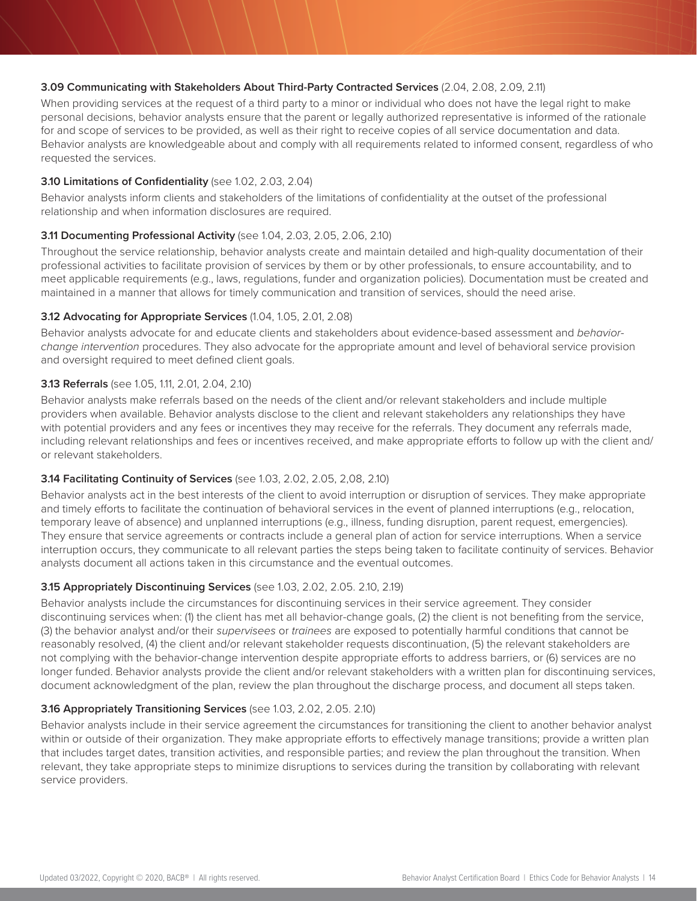#### <span id="page-13-0"></span>**3.09 Communicating with Stakeholders About Third-Party Contracted Services** (2.04, 2.08, 2.09, 2.11)

When providing services at the request of a third party to a minor or individual who does not have the legal right to make personal decisions, behavior analysts ensure that the parent or legally authorized representative is informed of the rationale for and scope of services to be provided, as well as their right to receive copies of all service documentation and data. Behavior analysts are knowledgeable about and comply with all requirements related to informed consent, regardless of who requested the services.

#### **3.10 Limitations of Confidentiality** (see 1.02, 2.03, 2.04)

Behavior analysts inform clients and stakeholders of the limitations of confidentiality at the outset of the professional relationship and when information disclosures are required.

#### **3.11 Documenting Professional Activity** (see 1.04, 2.03, 2.05, 2.06, 2.10)

Throughout the service relationship, behavior analysts create and maintain detailed and high-quality documentation of their professional activities to facilitate provision of services by them or by other professionals, to ensure accountability, and to meet applicable requirements (e.g., laws, regulations, funder and organization policies). Documentation must be created and maintained in a manner that allows for timely communication and transition of services, should the need arise.

#### **3.12 Advocating for Appropriate Services** (1.04, 1.05, 2.01, 2.08)

Behavior analysts advocate for and educate clients and stakeholders about evidence-based assessment and *behaviorchange intervention* procedures. They also advocate for the appropriate amount and level of behavioral service provision and oversight required to meet defined client goals.

#### **3.13 Referrals** (see 1.05, 1.11, 2.01, 2.04, 2.10)

Behavior analysts make referrals based on the needs of the client and/or relevant stakeholders and include multiple providers when available. Behavior analysts disclose to the client and relevant stakeholders any relationships they have with potential providers and any fees or incentives they may receive for the referrals. They document any referrals made, including relevant relationships and fees or incentives received, and make appropriate efforts to follow up with the client and/ or relevant stakeholders.

#### **3.14 Facilitating Continuity of Services** (see 1.03, 2.02, 2.05, 2,08, 2.10)

Behavior analysts act in the best interests of the client to avoid interruption or disruption of services. They make appropriate and timely efforts to facilitate the continuation of behavioral services in the event of planned interruptions (e.g., relocation, temporary leave of absence) and unplanned interruptions (e.g., illness, funding disruption, parent request, emergencies). They ensure that service agreements or contracts include a general plan of action for service interruptions. When a service interruption occurs, they communicate to all relevant parties the steps being taken to facilitate continuity of services. Behavior analysts document all actions taken in this circumstance and the eventual outcomes.

#### **3.15 Appropriately Discontinuing Services** (see 1.03, 2.02, 2.05. 2.10, 2.19)

Behavior analysts include the circumstances for discontinuing services in their service agreement. They consider discontinuing services when: (1) the client has met all behavior-change goals, (2) the client is not benefiting from the service, (3) the behavior analyst and/or their *supervisees* or *trainees* are exposed to potentially harmful conditions that cannot be reasonably resolved, (4) the client and/or relevant stakeholder requests discontinuation, (5) the relevant stakeholders are not complying with the behavior-change intervention despite appropriate efforts to address barriers, or (6) services are no longer funded. Behavior analysts provide the client and/or relevant stakeholders with a written plan for discontinuing services, document acknowledgment of the plan, review the plan throughout the discharge process, and document all steps taken.

#### **3.16 Appropriately Transitioning Services** (see 1.03, 2.02, 2.05. 2.10)

Behavior analysts include in their service agreement the circumstances for transitioning the client to another behavior analyst within or outside of their organization. They make appropriate efforts to effectively manage transitions; provide a written plan that includes target dates, transition activities, and responsible parties; and review the plan throughout the transition. When relevant, they take appropriate steps to minimize disruptions to services during the transition by collaborating with relevant service providers.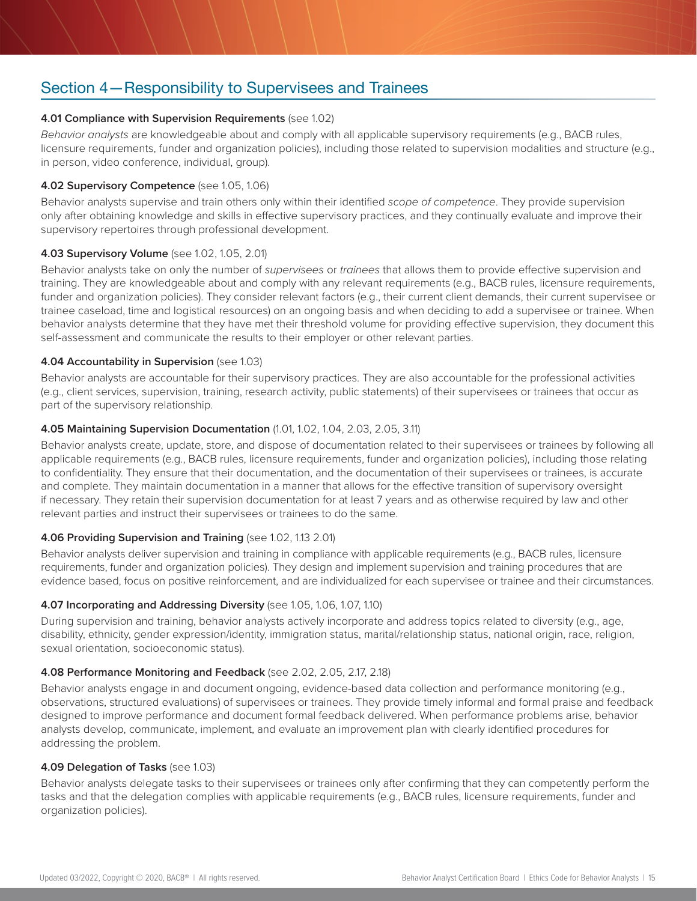# <span id="page-14-0"></span>Section 4—Responsibility to Supervisees and Trainees

#### **4.01 Compliance with Supervision Requirements** (see 1.02)

*Behavior analysts* are knowledgeable about and comply with all applicable supervisory requirements (e.g., BACB rules, licensure requirements, funder and organization policies), including those related to supervision modalities and structure (e.g., in person, video conference, individual, group).

#### **4.02 Supervisory Competence** (see 1.05, 1.06)

Behavior analysts supervise and train others only within their identified *scope of competence*. They provide supervision only after obtaining knowledge and skills in effective supervisory practices, and they continually evaluate and improve their supervisory repertoires through professional development.

#### **4.03 Supervisory Volume** (see 1.02, 1.05, 2.01)

Behavior analysts take on only the number of *supervisees* or *trainees* that allows them to provide effective supervision and training. They are knowledgeable about and comply with any relevant requirements (e.g., BACB rules, licensure requirements, funder and organization policies). They consider relevant factors (e.g., their current client demands, their current supervisee or trainee caseload, time and logistical resources) on an ongoing basis and when deciding to add a supervisee or trainee. When behavior analysts determine that they have met their threshold volume for providing effective supervision, they document this self-assessment and communicate the results to their employer or other relevant parties.

#### **4.04 Accountability in Supervision** (see 1.03)

Behavior analysts are accountable for their supervisory practices. They are also accountable for the professional activities (e.g., client services, supervision, training, research activity, public statements) of their supervisees or trainees that occur as part of the supervisory relationship.

#### **4.05 Maintaining Supervision Documentation** (1.01, 1.02, 1.04, 2.03, 2.05, 3.11)

Behavior analysts create, update, store, and dispose of documentation related to their supervisees or trainees by following all applicable requirements (e.g., BACB rules, licensure requirements, funder and organization policies), including those relating to confidentiality. They ensure that their documentation, and the documentation of their supervisees or trainees, is accurate and complete. They maintain documentation in a manner that allows for the effective transition of supervisory oversight if necessary. They retain their supervision documentation for at least 7 years and as otherwise required by law and other relevant parties and instruct their supervisees or trainees to do the same.

#### **4.06 Providing Supervision and Training** (see 1.02, 1.13 2.01)

Behavior analysts deliver supervision and training in compliance with applicable requirements (e.g., BACB rules, licensure requirements, funder and organization policies). They design and implement supervision and training procedures that are evidence based, focus on positive reinforcement, and are individualized for each supervisee or trainee and their circumstances.

#### **4.07 Incorporating and Addressing Diversity** (see 1.05, 1.06, 1.07, 1.10)

During supervision and training, behavior analysts actively incorporate and address topics related to diversity (e.g., age, disability, ethnicity, gender expression/identity, immigration status, marital/relationship status, national origin, race, religion, sexual orientation, socioeconomic status).

#### **4.08 Performance Monitoring and Feedback** (see 2.02, 2.05, 2.17, 2.18)

Behavior analysts engage in and document ongoing, evidence-based data collection and performance monitoring (e.g., observations, structured evaluations) of supervisees or trainees. They provide timely informal and formal praise and feedback designed to improve performance and document formal feedback delivered. When performance problems arise, behavior analysts develop, communicate, implement, and evaluate an improvement plan with clearly identified procedures for addressing the problem.

#### **4.09 Delegation of Tasks** (see 1.03)

Behavior analysts delegate tasks to their supervisees or trainees only after confirming that they can competently perform the tasks and that the delegation complies with applicable requirements (e.g., BACB rules, licensure requirements, funder and organization policies).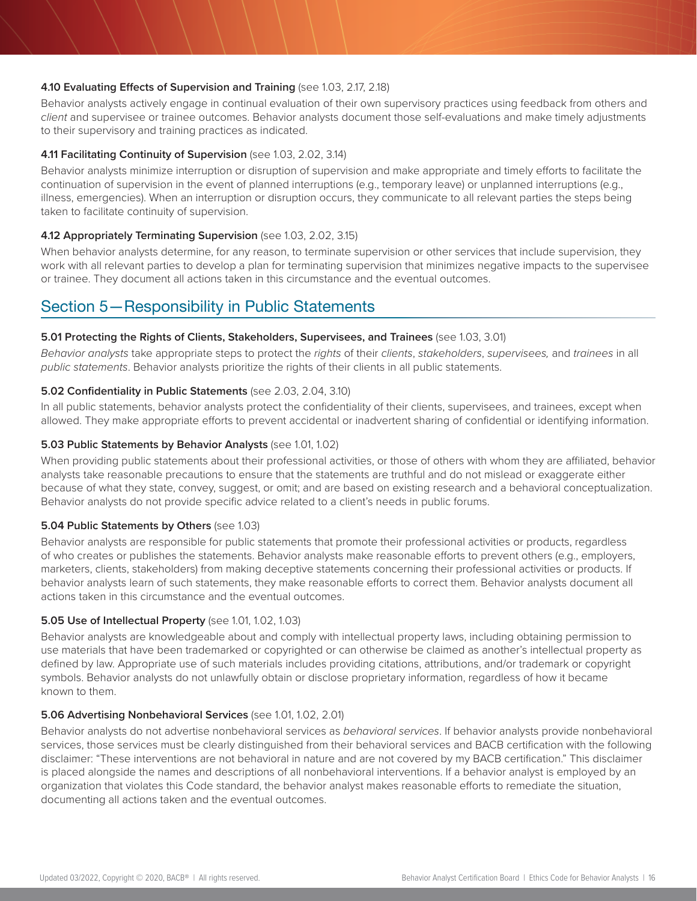#### <span id="page-15-0"></span>**4.10 Evaluating Effects of Supervision and Training** (see 1.03, 2.17, 2.18)

Behavior analysts actively engage in continual evaluation of their own supervisory practices using feedback from others and *client* and supervisee or trainee outcomes. Behavior analysts document those self-evaluations and make timely adjustments to their supervisory and training practices as indicated.

#### **4.11 Facilitating Continuity of Supervision** (see 1.03, 2.02, 3.14)

Behavior analysts minimize interruption or disruption of supervision and make appropriate and timely efforts to facilitate the continuation of supervision in the event of planned interruptions (e.g., temporary leave) or unplanned interruptions (e.g., illness, emergencies). When an interruption or disruption occurs, they communicate to all relevant parties the steps being taken to facilitate continuity of supervision.

#### **4.12 Appropriately Terminating Supervision** (see 1.03, 2.02, 3.15)

When behavior analysts determine, for any reason, to terminate supervision or other services that include supervision, they work with all relevant parties to develop a plan for terminating supervision that minimizes negative impacts to the supervisee or trainee. They document all actions taken in this circumstance and the eventual outcomes.

### Section 5—Responsibility in Public Statements

#### **5.01 Protecting the Rights of Clients, Stakeholders, Supervisees, and Trainees** (see 1.03, 3.01)

*Behavior analysts* take appropriate steps to protect the *rights* of their *clients*, *stakeholders*, *supervisees,* and *trainees* in all *public statements*. Behavior analysts prioritize the rights of their clients in all public statements.

#### **5.02 Confidentiality in Public Statements** (see 2.03, 2.04, 3.10)

In all public statements, behavior analysts protect the confidentiality of their clients, supervisees, and trainees, except when allowed. They make appropriate efforts to prevent accidental or inadvertent sharing of confidential or identifying information.

#### **5.03 Public Statements by Behavior Analysts** (see 1.01, 1.02)

When providing public statements about their professional activities, or those of others with whom they are affiliated, behavior analysts take reasonable precautions to ensure that the statements are truthful and do not mislead or exaggerate either because of what they state, convey, suggest, or omit; and are based on existing research and a behavioral conceptualization. Behavior analysts do not provide specific advice related to a client's needs in public forums.

#### **5.04 Public Statements by Others** (see 1.03)

Behavior analysts are responsible for public statements that promote their professional activities or products, regardless of who creates or publishes the statements. Behavior analysts make reasonable efforts to prevent others (e.g., employers, marketers, clients, stakeholders) from making deceptive statements concerning their professional activities or products. If behavior analysts learn of such statements, they make reasonable efforts to correct them. Behavior analysts document all actions taken in this circumstance and the eventual outcomes.

#### **5.05 Use of Intellectual Property** (see 1.01, 1.02, 1.03)

Behavior analysts are knowledgeable about and comply with intellectual property laws, including obtaining permission to use materials that have been trademarked or copyrighted or can otherwise be claimed as another's intellectual property as defined by law. Appropriate use of such materials includes providing citations, attributions, and/or trademark or copyright symbols. Behavior analysts do not unlawfully obtain or disclose proprietary information, regardless of how it became known to them.

#### **5.06 Advertising Nonbehavioral Services** (see 1.01, 1.02, 2.01)

Behavior analysts do not advertise nonbehavioral services as *behavioral services*. If behavior analysts provide nonbehavioral services, those services must be clearly distinguished from their behavioral services and BACB certification with the following disclaimer: "These interventions are not behavioral in nature and are not covered by my BACB certification." This disclaimer is placed alongside the names and descriptions of all nonbehavioral interventions. If a behavior analyst is employed by an organization that violates this Code standard, the behavior analyst makes reasonable efforts to remediate the situation, documenting all actions taken and the eventual outcomes.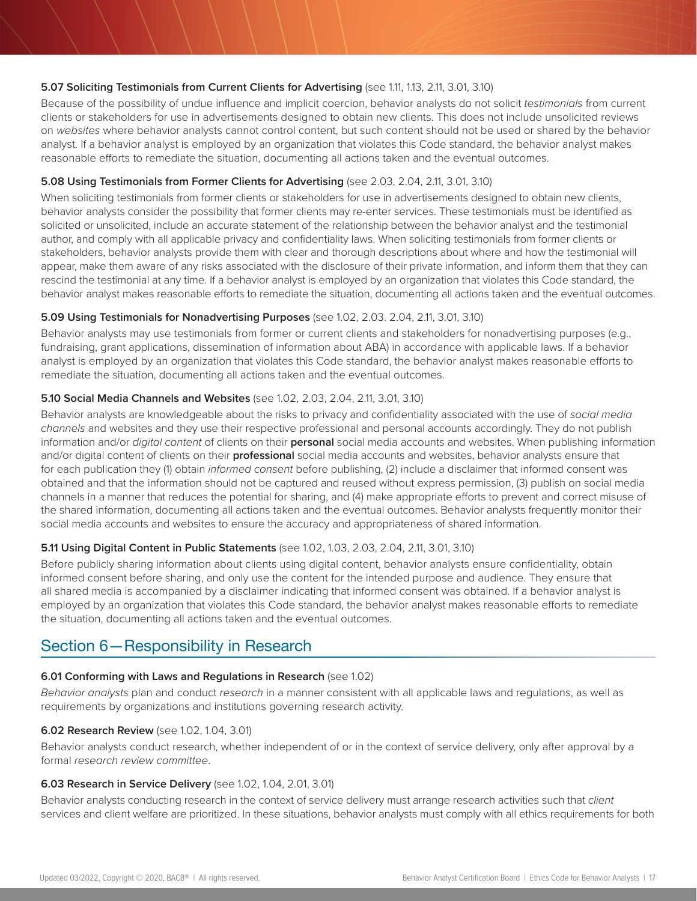#### <span id="page-16-0"></span>**5.07 Soliciting Testimonials from Current Clients for Advertising** (see 1.11, 1.13, 2.11, 3.01, 3.10)

Because of the possibility of undue influence and implicit coercion, behavior analysts do not solicit *testimonials* from current clients or stakeholders for use in advertisements designed to obtain new clients. This does not include unsolicited reviews on *websites* where behavior analysts cannot control content, but such content should not be used or shared by the behavior analyst. If a behavior analyst is employed by an organization that violates this Code standard, the behavior analyst makes reasonable efforts to remediate the situation, documenting all actions taken and the eventual outcomes.

#### **5.08 Using Testimonials from Former Clients for Advertising** (see 2.03, 2.04, 2.11, 3.01, 3.10)

When soliciting testimonials from former clients or stakeholders for use in advertisements designed to obtain new clients, behavior analysts consider the possibility that former clients may re-enter services. These testimonials must be identified as solicited or unsolicited, include an accurate statement of the relationship between the behavior analyst and the testimonial author, and comply with all applicable privacy and confidentiality laws. When soliciting testimonials from former clients or stakeholders, behavior analysts provide them with clear and thorough descriptions about where and how the testimonial will appear, make them aware of any risks associated with the disclosure of their private information, and inform them that they can rescind the testimonial at any time. If a behavior analyst is employed by an organization that violates this Code standard, the behavior analyst makes reasonable efforts to remediate the situation, documenting all actions taken and the eventual outcomes.

#### **5.09 Using Testimonials for Nonadvertising Purposes** (see 1.02, 2.03. 2.04, 2.11, 3.01, 3.10)

Behavior analysts may use testimonials from former or current clients and stakeholders for nonadvertising purposes (e.g., fundraising, grant applications, dissemination of information about ABA) in accordance with applicable laws. If a behavior analyst is employed by an organization that violates this Code standard, the behavior analyst makes reasonable efforts to remediate the situation, documenting all actions taken and the eventual outcomes.

#### **5.10 Social Media Channels and Websites** (see 1.02, 2.03, 2.04, 2.11, 3.01, 3.10)

Behavior analysts are knowledgeable about the risks to privacy and confidentiality associated with the use of *social media channels* and websites and they use their respective professional and personal accounts accordingly. They do not publish information and/or *digital content* of clients on their **personal** social media accounts and websites. When publishing information and/or digital content of clients on their **professional** social media accounts and websites, behavior analysts ensure that for each publication they (1) obtain *informed consent* before publishing, (2) include a disclaimer that informed consent was obtained and that the information should not be captured and reused without express permission, (3) publish on social media channels in a manner that reduces the potential for sharing, and (4) make appropriate efforts to prevent and correct misuse of the shared information, documenting all actions taken and the eventual outcomes. Behavior analysts frequently monitor their social media accounts and websites to ensure the accuracy and appropriateness of shared information.

#### **5.11 Using Digital Content in Public Statements** (see 1.02, 1.03, 2.03, 2.04, 2.11, 3.01, 3.10)

Before publicly sharing information about clients using digital content, behavior analysts ensure confidentiality, obtain informed consent before sharing, and only use the content for the intended purpose and audience. They ensure that all shared media is accompanied by a disclaimer indicating that informed consent was obtained. If a behavior analyst is employed by an organization that violates this Code standard, the behavior analyst makes reasonable efforts to remediate the situation, documenting all actions taken and the eventual outcomes.

### Section 6—Responsibility in Research

#### **6.01 Conforming with Laws and Regulations in Research** (see 1.02)

*Behavior analysts* plan and conduct *research* in a manner consistent with all applicable laws and regulations, as well as requirements by organizations and institutions governing research activity.

#### **6.02 Research Review** (see 1.02, 1.04, 3.01)

Behavior analysts conduct research, whether independent of or in the context of service delivery, only after approval by a formal *research review committee*.

#### **6.03 Research in Service Delivery** (see 1.02, 1.04, 2.01, 3.01)

Behavior analysts conducting research in the context of service delivery must arrange research activities such that *client* services and client welfare are prioritized. In these situations, behavior analysts must comply with all ethics requirements for both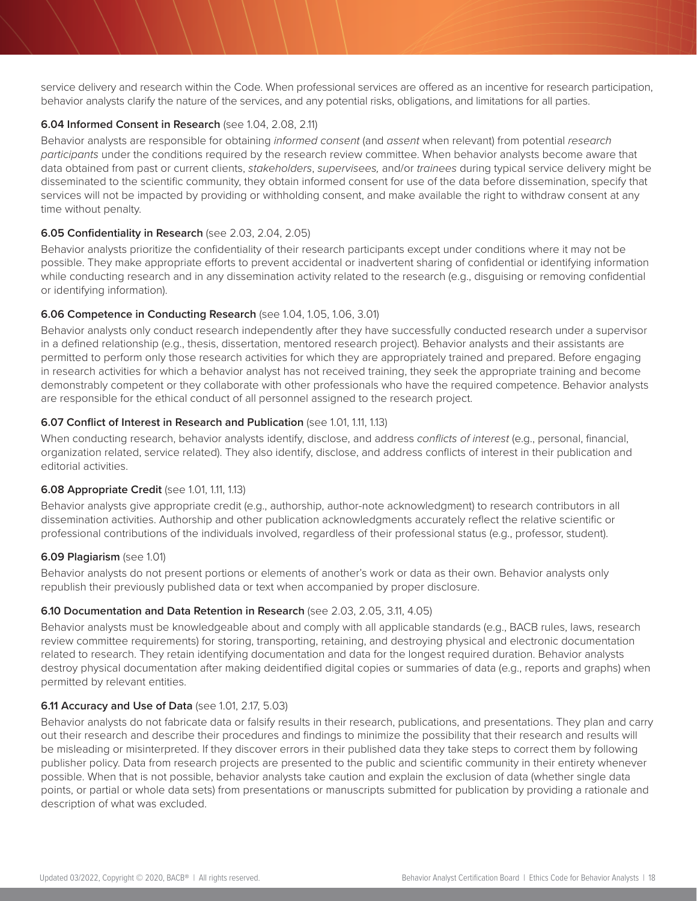<span id="page-17-0"></span>service delivery and research within the Code. When professional services are offered as an incentive for research participation, behavior analysts clarify the nature of the services, and any potential risks, obligations, and limitations for all parties.

#### **6.04 Informed Consent in Research** (see 1.04, 2.08, 2.11)

Behavior analysts are responsible for obtaining *informed consent* (and *assent* when relevant) from potential *research participants* under the conditions required by the research review committee. When behavior analysts become aware that data obtained from past or current clients, *stakeholders*, *supervisees,* and/or *trainees* during typical service delivery might be disseminated to the scientific community, they obtain informed consent for use of the data before dissemination, specify that services will not be impacted by providing or withholding consent, and make available the right to withdraw consent at any time without penalty.

#### **6.05 Confidentiality in Research** (see 2.03, 2.04, 2.05)

Behavior analysts prioritize the confidentiality of their research participants except under conditions where it may not be possible. They make appropriate efforts to prevent accidental or inadvertent sharing of confidential or identifying information while conducting research and in any dissemination activity related to the research (e.g., disguising or removing confidential or identifying information).

#### **6.06 Competence in Conducting Research** (see 1.04, 1.05, 1.06, 3.01)

Behavior analysts only conduct research independently after they have successfully conducted research under a supervisor in a defined relationship (e.g., thesis, dissertation, mentored research project). Behavior analysts and their assistants are permitted to perform only those research activities for which they are appropriately trained and prepared. Before engaging in research activities for which a behavior analyst has not received training, they seek the appropriate training and become demonstrably competent or they collaborate with other professionals who have the required competence. Behavior analysts are responsible for the ethical conduct of all personnel assigned to the research project.

#### **6.07 Conflict of Interest in Research and Publication** (see 1.01, 1.11, 1.13)

When conducting research, behavior analysts identify, disclose, and address *conflicts of interest* (e.g., personal, financial, organization related, service related). They also identify, disclose, and address conflicts of interest in their publication and editorial activities.

#### **6.08 Appropriate Credit** (see 1.01, 1.11, 1.13)

Behavior analysts give appropriate credit (e.g., authorship, author-note acknowledgment) to research contributors in all dissemination activities. Authorship and other publication acknowledgments accurately reflect the relative scientific or professional contributions of the individuals involved, regardless of their professional status (e.g., professor, student).

#### **6.09 Plagiarism** (see 1.01)

Behavior analysts do not present portions or elements of another's work or data as their own. Behavior analysts only republish their previously published data or text when accompanied by proper disclosure.

#### **6.10 Documentation and Data Retention in Research** (see 2.03, 2.05, 3.11, 4.05)

Behavior analysts must be knowledgeable about and comply with all applicable standards (e.g., BACB rules, laws, research review committee requirements) for storing, transporting, retaining, and destroying physical and electronic documentation related to research. They retain identifying documentation and data for the longest required duration. Behavior analysts destroy physical documentation after making deidentified digital copies or summaries of data (e.g., reports and graphs) when permitted by relevant entities.

#### **6.11 Accuracy and Use of Data** (see 1.01, 2.17, 5.03)

Behavior analysts do not fabricate data or falsify results in their research, publications, and presentations. They plan and carry out their research and describe their procedures and findings to minimize the possibility that their research and results will be misleading or misinterpreted. If they discover errors in their published data they take steps to correct them by following publisher policy. Data from research projects are presented to the public and scientific community in their entirety whenever possible. When that is not possible, behavior analysts take caution and explain the exclusion of data (whether single data points, or partial or whole data sets) from presentations or manuscripts submitted for publication by providing a rationale and description of what was excluded.